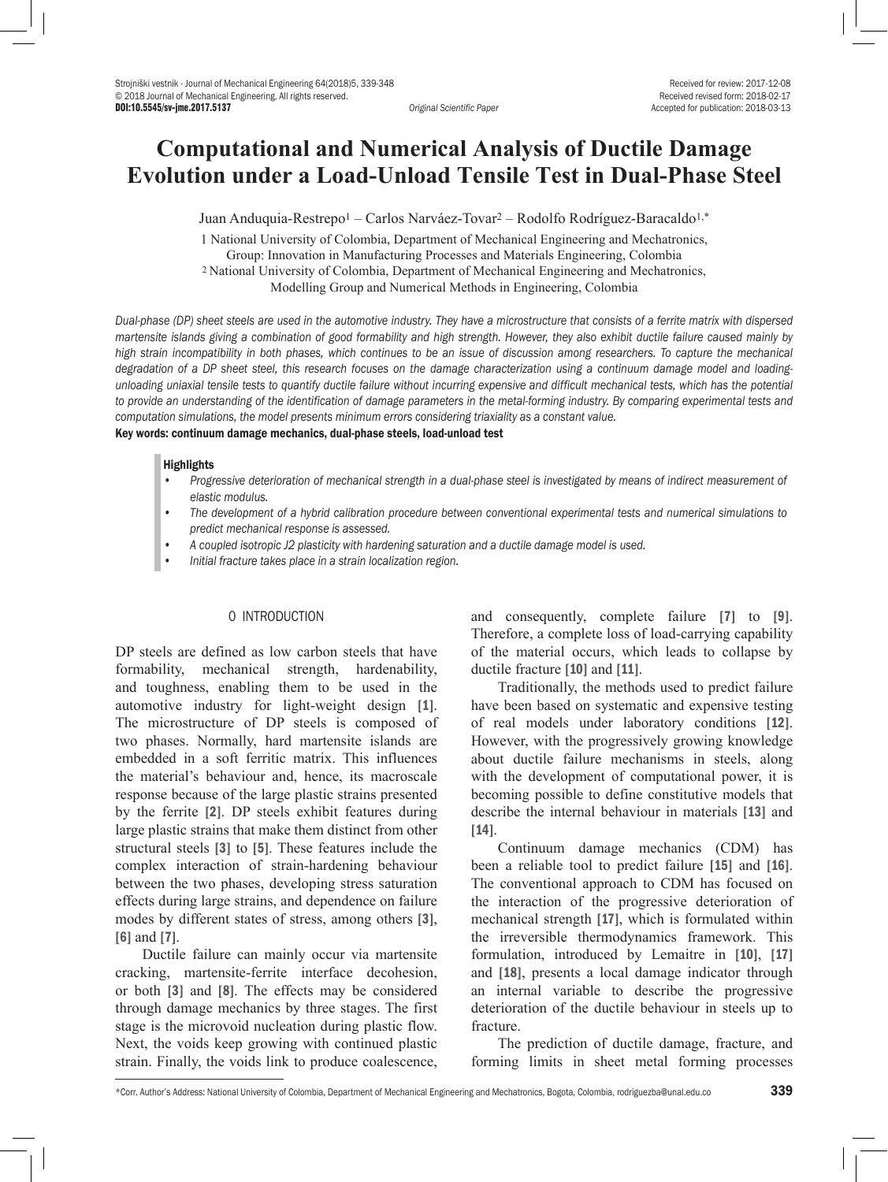Accepted for publication: 2018-03-13

# **Computational and Numerical Analysis of Ductile Damage Evolution under a Load-Unload Tensile Test in Dual-Phase Steel**

Juan Anduquia-Restrepo1 – Carlos Narváez-Tovar2 – Rodolfo Rodríguez-Baracaldo1,\*

1 National University of Colombia, Department of Mechanical Engineering and Mechatronics, Group: Innovation in Manufacturing Processes and Materials Engineering, Colombia 2 National University of Colombia, Department of Mechanical Engineering and Mechatronics, Modelling Group and Numerical Methods in Engineering, Colombia

*Dual-phase (DP) sheet steels are used in the automotive industry. They have a microstructure that consists of a ferrite matrix with dispersed martensite islands giving a combination of good formability and high strength. However, they also exhibit ductile failure caused mainly by high strain incompatibility in both phases, which continues to be an issue of discussion among researchers. To capture the mechanical degradation of a DP sheet steel, this research focuses on the damage characterization using a continuum damage model and loadingunloading uniaxial tensile tests to quantify ductile failure without incurring expensive and difficult mechanical tests, which has the potential*  to provide an understanding of the identification of damage parameters in the metal-forming industry. By comparing experimental tests and *computation simulations, the model presents minimum errors considering triaxiality as a constant value.*

# Key words: continuum damage mechanics, dual-phase steels, load-unload test

### **Highlights**

- *• Progressive deterioration of mechanical strength in a dual-phase steel is investigated by means of indirect measurement of elastic modulus.*
- *• The development of a hybrid calibration procedure between conventional experimental tests and numerical simulations to predict mechanical response is assessed.*
- *• A coupled isotropic J2 plasticity with hardening saturation and a ductile damage model is used.*
- *• Initial fracture takes place in a strain localization region.*

# 0 INTRODUCTION

DP steels are defined as low carbon steels that have formability, mechanical strength, hardenability, and toughness, enabling them to be used in the automotive industry for light-weight design [1]. The microstructure of DP steels is composed of two phases. Normally, hard martensite islands are embedded in a soft ferritic matrix. This influences the material's behaviour and, hence, its macroscale response because of the large plastic strains presented by the ferrite [2]. DP steels exhibit features during large plastic strains that make them distinct from other structural steels [3] to [5]. These features include the complex interaction of strain-hardening behaviour between the two phases, developing stress saturation effects during large strains, and dependence on failure modes by different states of stress, among others [3], [6] and [7].

Ductile failure can mainly occur via martensite cracking, martensite-ferrite interface decohesion, or both [3] and [8]. The effects may be considered through damage mechanics by three stages. The first stage is the microvoid nucleation during plastic flow. Next, the voids keep growing with continued plastic strain. Finally, the voids link to produce coalescence,

and consequently, complete failure [7] to [9]. Therefore, a complete loss of load-carrying capability of the material occurs, which leads to collapse by ductile fracture [10] and [11].

Traditionally, the methods used to predict failure have been based on systematic and expensive testing of real models under laboratory conditions [12]. However, with the progressively growing knowledge about ductile failure mechanisms in steels, along with the development of computational power, it is becoming possible to define constitutive models that describe the internal behaviour in materials [13] and [14].

Continuum damage mechanics (CDM) has been a reliable tool to predict failure [15] and [16]. The conventional approach to CDM has focused on the interaction of the progressive deterioration of mechanical strength [17], which is formulated within the irreversible thermodynamics framework. This formulation, introduced by Lemaitre in [10], [17] and [18], presents a local damage indicator through an internal variable to describe the progressive deterioration of the ductile behaviour in steels up to fracture.

The prediction of ductile damage, fracture, and forming limits in sheet metal forming processes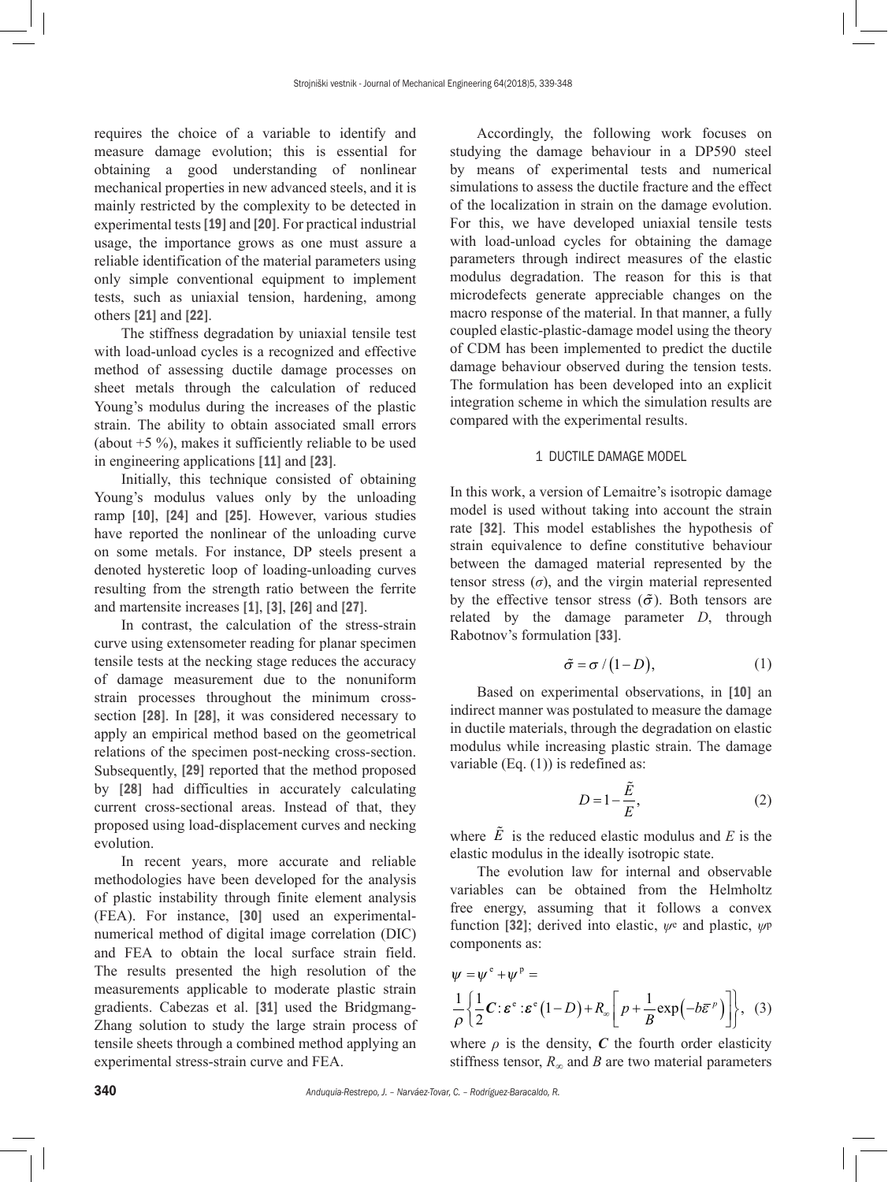requires the choice of a variable to identify and measure damage evolution; this is essential for obtaining a good understanding of nonlinear mechanical properties in new advanced steels, and it is mainly restricted by the complexity to be detected in experimental tests [19] and [20]. For practical industrial usage, the importance grows as one must assure a reliable identification of the material parameters using only simple conventional equipment to implement tests, such as uniaxial tension, hardening, among others [21] and [22].

The stiffness degradation by uniaxial tensile test with load-unload cycles is a recognized and effective method of assessing ductile damage processes on sheet metals through the calculation of reduced Young's modulus during the increases of the plastic strain. The ability to obtain associated small errors (about  $+5\%$ ), makes it sufficiently reliable to be used in engineering applications [11] and [23].

Initially, this technique consisted of obtaining Young's modulus values only by the unloading ramp [10], [24] and [25]. However, various studies have reported the nonlinear of the unloading curve on some metals. For instance, DP steels present a denoted hysteretic loop of loading-unloading curves resulting from the strength ratio between the ferrite and martensite increases [1], [3], [26] and [27].

In contrast, the calculation of the stress-strain curve using extensometer reading for planar specimen tensile tests at the necking stage reduces the accuracy of damage measurement due to the nonuniform strain processes throughout the minimum crosssection [28]. In [28], it was considered necessary to apply an empirical method based on the geometrical relations of the specimen post-necking cross-section. Subsequently, [29] reported that the method proposed by [28] had difficulties in accurately calculating current cross-sectional areas. Instead of that, they proposed using load-displacement curves and necking evolution.

In recent years, more accurate and reliable methodologies have been developed for the analysis of plastic instability through finite element analysis (FEA). For instance, [30] used an experimentalnumerical method of digital image correlation (DIC) and FEA to obtain the local surface strain field. The results presented the high resolution of the measurements applicable to moderate plastic strain gradients. Cabezas et al. [31] used the Bridgmang-Zhang solution to study the large strain process of tensile sheets through a combined method applying an experimental stress-strain curve and FEA.

Accordingly, the following work focuses on studying the damage behaviour in a DP590 steel by means of experimental tests and numerical simulations to assess the ductile fracture and the effect of the localization in strain on the damage evolution. For this, we have developed uniaxial tensile tests with load-unload cycles for obtaining the damage parameters through indirect measures of the elastic modulus degradation. The reason for this is that microdefects generate appreciable changes on the macro response of the material. In that manner, a fully coupled elastic-plastic-damage model using the theory of CDM has been implemented to predict the ductile damage behaviour observed during the tension tests. The formulation has been developed into an explicit integration scheme in which the simulation results are compared with the experimental results.

## 1 DUCTILE DAMAGE MODEL

In this work, a version of Lemaitre's isotropic damage model is used without taking into account the strain rate [32]. This model establishes the hypothesis of strain equivalence to define constitutive behaviour between the damaged material represented by the tensor stress  $(\sigma)$ , and the virgin material represented by the effective tensor stress ( $\tilde{\sigma}$ ). Both tensors are related by the damage parameter *D*, through Rabotnov's formulation [33].

$$
\tilde{\sigma} = \sigma / (1 - D), \tag{1}
$$

Based on experimental observations, in [10] an indirect manner was postulated to measure the damage in ductile materials, through the degradation on elastic modulus while increasing plastic strain. The damage variable (Eq. (1)) is redefined as:

$$
D = 1 - \frac{\tilde{E}}{E},\tag{2}
$$

where  $\tilde{E}$  is the reduced elastic modulus and  $E$  is the elastic modulus in the ideally isotropic state.

The evolution law for internal and observable variables can be obtained from the Helmholtz free energy, assuming that it follows a convex function [32]; derived into elastic, *ψ*e and plastic, *ψ*<sup>p</sup> components as:

$$
\psi = \psi^e + \psi^p =
$$
  
\n
$$
\frac{1}{\rho} \left\{ \frac{1}{2} C : \varepsilon^e : \varepsilon^e (1 - D) + R_\infty \left[ p + \frac{1}{B} \exp \left( -b \overline{\varepsilon}^p \right) \right] \right\}, (3)
$$

where  $\rho$  is the density,  $C$  the fourth order elasticity stiffness tensor,  $R_{\infty}$  and *B* are two material parameters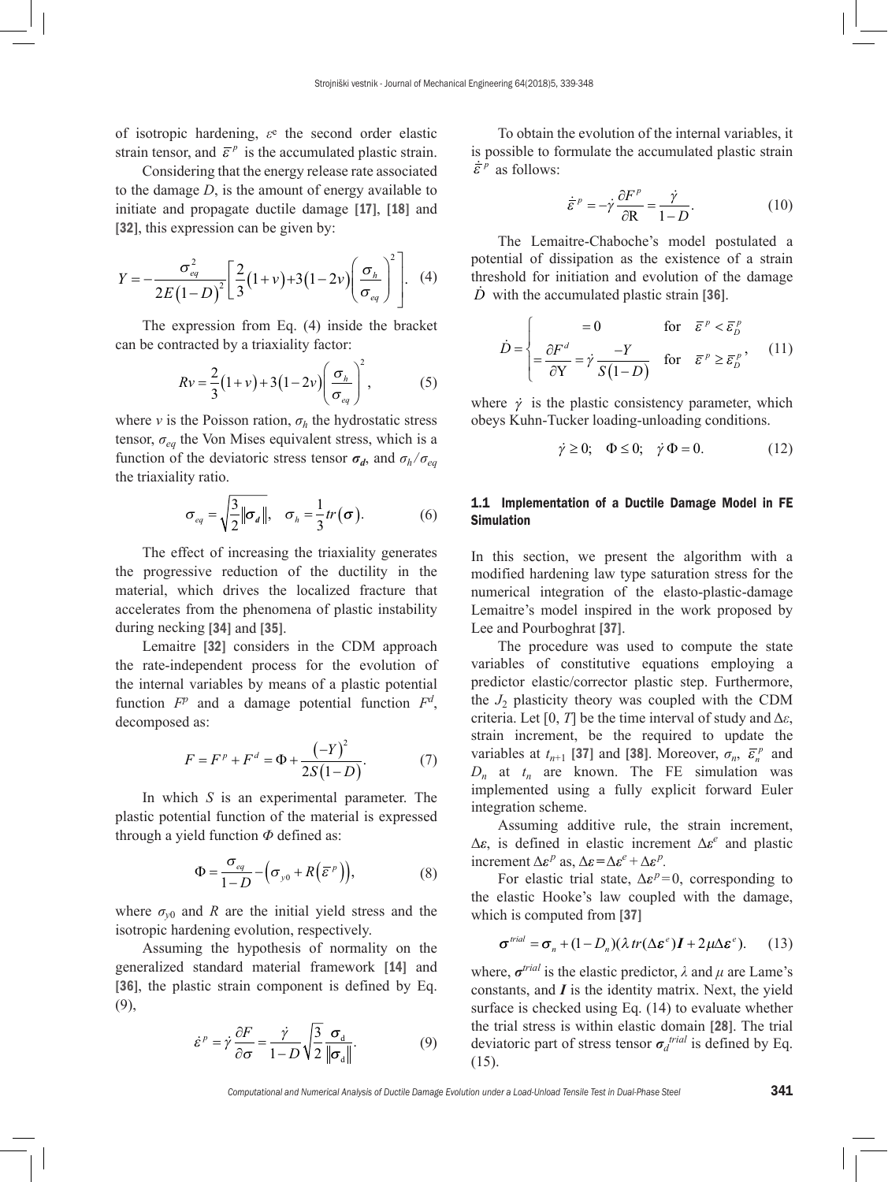of isotropic hardening, *ε*e the second order elastic strain tensor, and  $\bar{\varepsilon}^p$  is the accumulated plastic strain.

Considering that the energy release rate associated to the damage *D*, is the amount of energy available to initiate and propagate ductile damage [17], [18] and [32], this expression can be given by:

$$
Y = -\frac{\sigma_{eq}^2}{2E(1-D)^2} \left[ \frac{2}{3}(1+v) + 3(1-2v) \left( \frac{\sigma_h}{\sigma_{eq}} \right)^2 \right]. \quad (4)
$$

The expression from Eq. (4) inside the bracket can be contracted by a triaxiality factor:

$$
Rv = \frac{2}{3}(1+v) + 3(1-2v)\left(\frac{\sigma_h}{\sigma_{eq}}\right)^2,\tag{5}
$$

where *v* is the Poisson ration,  $\sigma_h$  the hydrostatic stress tensor,  $\sigma_{eq}$  the Von Mises equivalent stress, which is a function of the deviatoric stress tensor  $\sigma_d$ , and  $\sigma_h/\sigma_{eq}$ the triaxiality ratio.

$$
\sigma_{eq} = \sqrt{\frac{3}{2} ||\sigma_d||}, \quad \sigma_h = \frac{1}{3} tr(\sigma).
$$
 (6)

The effect of increasing the triaxiality generates the progressive reduction of the ductility in the material, which drives the localized fracture that accelerates from the phenomena of plastic instability during necking [34] and [35].

Lemaitre [32] considers in the CDM approach the rate-independent process for the evolution of the internal variables by means of a plastic potential function  $F^p$  and a damage potential function  $F^d$ , decomposed as:

$$
F = Fp + Fd = \Phi + \frac{(-Y)^{2}}{2S(1-D)}.
$$
 (7)

In which *S* is an experimental parameter. The plastic potential function of the material is expressed through a yield function *Φ* defined as:

$$
\Phi = \frac{\sigma_{eq}}{1 - D} - \left(\sigma_{y0} + R\left(\overline{\varepsilon}^p\right)\right),\tag{8}
$$

where  $\sigma_{v0}$  and *R* are the initial yield stress and the isotropic hardening evolution, respectively.

Assuming the hypothesis of normality on the generalized standard material framework [14] and [36], the plastic strain component is defined by Eq. (9),

$$
\dot{\varepsilon}^p = \dot{\gamma} \frac{\partial F}{\partial \sigma} = \frac{\dot{\gamma}}{1 - D} \sqrt{\frac{3}{2} \frac{\sigma_d}{\|\sigma_d\|}}.
$$
 (9)

To obtain the evolution of the internal variables, it is possible to formulate the accumulated plastic strain  $\dot{\bar{\varepsilon}}^p$  as follows:

$$
\dot{\overline{\varepsilon}}^p = -\dot{\gamma}\frac{\partial F^p}{\partial \mathbf{R}} = \frac{\dot{\gamma}}{1 - D}.
$$
 (10)

The Lemaitre-Chaboche's model postulated a potential of dissipation as the existence of a strain threshold for initiation and evolution of the damage *D* with the accumulated plastic strain [36].

$$
\dot{D} = \begin{cases}\n= 0 & \text{for } \bar{\varepsilon}^p < \bar{\varepsilon}_D^p \\
= \frac{\partial F^d}{\partial Y} = \dot{\gamma} \frac{-Y}{S(1-D)} & \text{for } \bar{\varepsilon}^p \ge \bar{\varepsilon}_D^p,\n\end{cases}
$$
(11)

where  $\dot{\gamma}$  is the plastic consistency parameter, which obeys Kuhn-Tucker loading-unloading conditions.

$$
\dot{\gamma} \ge 0; \quad \Phi \le 0; \quad \dot{\gamma} \Phi = 0. \tag{12}
$$

# 1.1 Implementation of a Ductile Damage Model in FE Simulation

In this section, we present the algorithm with a modified hardening law type saturation stress for the numerical integration of the elasto-plastic-damage Lemaitre's model inspired in the work proposed by Lee and Pourboghrat [37].

The procedure was used to compute the state variables of constitutive equations employing a predictor elastic/corrector plastic step. Furthermore, the  $J_2$  plasticity theory was coupled with the CDM criteria. Let [0, *T*] be the time interval of study and  $\Delta \varepsilon$ , strain increment, be the required to update the variables at  $t_{n+1}$  [37] and [38]. Moreover,  $\sigma_n$ ,  $\bar{\epsilon}_n^p$  and  $D_n$  at  $t_n$  are known. The FE simulation was implemented using a fully explicit forward Euler integration scheme.

Assuming additive rule, the strain increment, Δ*ε*, is defined in elastic increment Δ*ε<sup>e</sup>* and plastic increment  $\Delta \varepsilon^p$  as,  $\Delta \varepsilon = \Delta \varepsilon^e + \Delta \varepsilon^p$ .

For elastic trial state,  $\Delta \varepsilon^{p}=0$ , corresponding to the elastic Hooke's law coupled with the damage, which is computed from [37]

$$
\boldsymbol{\sigma}^{trial} = \boldsymbol{\sigma}_n + (1 - D_n)(\lambda tr(\Delta \boldsymbol{\varepsilon}^e) \boldsymbol{I} + 2\mu \Delta \boldsymbol{\varepsilon}^e). \qquad (13)
$$

where,  $\sigma^{trial}$  is the elastic predictor,  $\lambda$  and  $\mu$  are Lame's constants, and *I* is the identity matrix. Next, the yield surface is checked using Eq. (14) to evaluate whether the trial stress is within elastic domain [28]. The trial deviatoric part of stress tensor  $\sigma_d^{trial}$  is defined by Eq. (15).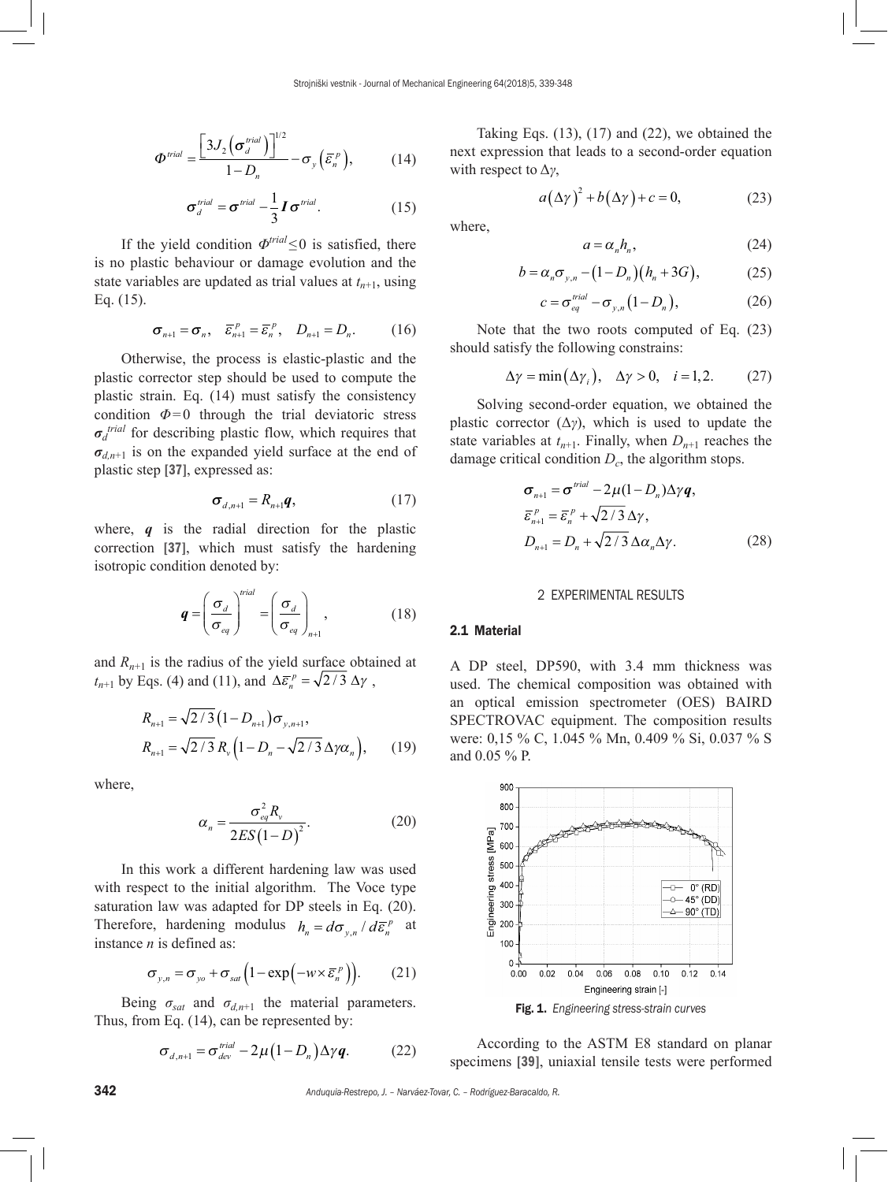$$
\Phi^{\text{trial}} = \frac{\left[3J_2\left(\sigma_d^{\text{trial}}\right)\right]^{1/2}}{1 - D_n} - \sigma_y\left(\bar{\varepsilon}_n^{\text{P}}\right),\tag{14}
$$

$$
\sigma_d^{trial} = \sigma^{trial} - \frac{1}{3} I \sigma^{trial}.
$$
 (15)

If the yield condition  $\Phi^{trial} \leq 0$  is satisfied, there is no plastic behaviour or damage evolution and the state variables are updated as trial values at  $t_{n+1}$ , using Eq. (15).

$$
\boldsymbol{\sigma}_{n+1} = \boldsymbol{\sigma}_n, \quad \boldsymbol{\bar{\varepsilon}}_{n+1}^p = \boldsymbol{\bar{\varepsilon}}_n^p, \quad D_{n+1} = D_n. \tag{16}
$$

Otherwise, the process is elastic-plastic and the plastic corrector step should be used to compute the plastic strain. Eq. (14) must satisfy the consistency condition  $\Phi$ =0 through the trial deviatoric stress *σd trial* for describing plastic flow, which requires that  $\sigma_{d,n+1}$  is on the expanded yield surface at the end of plastic step [37], expressed as:

$$
\sigma_{d,n+1} = R_{n+1}\boldsymbol{q},\tag{17}
$$

where, *q* is the radial direction for the plastic correction [37], which must satisfy the hardening isotropic condition denoted by:

$$
\boldsymbol{q} = \left(\frac{\sigma_d}{\sigma_{eq}}\right)^{trial} = \left(\frac{\sigma_d}{\sigma_{eq}}\right)_{n+1},\tag{18}
$$

and  $R_{n+1}$  is the radius of the yield surface obtained at  $t_{n+1}$  by Eqs. (4) and (11), and  $\Delta \bar{\epsilon}_n^p = \sqrt{2}/3 \Delta \gamma$ ,

$$
R_{n+1} = \sqrt{2/3} (1 - D_{n+1}) \sigma_{y, n+1},
$$
  
\n
$$
R_{n+1} = \sqrt{2/3} R_{y} (1 - D_{n} - \sqrt{2/3} \Delta \gamma \alpha_{n}),
$$
 (19)

where,

$$
\alpha_n = \frac{\sigma_{eq}^2 R_v}{2ES(1-D)^2}.
$$
\n(20)

In this work a different hardening law was used with respect to the initial algorithm. The Voce type saturation law was adapted for DP steels in Eq. (20). Therefore, hardening modulus  $h_n = d\sigma_{y,n}/d\bar{\epsilon}_n^p$  at instance *n* is defined as:

$$
\sigma_{y,n} = \sigma_{y0} + \sigma_{sat} \left( 1 - \exp\left( -w \times \overline{\varepsilon}_n^p \right) \right). \tag{21}
$$

Being  $\sigma_{sat}$  and  $\sigma_{d,n+1}$  the material parameters. Thus, from Eq. (14), can be represented by:

$$
\sigma_{d,n+1} = \sigma_{dev}^{trial} - 2\mu (1 - D_n) \Delta \gamma q. \tag{22}
$$

Taking Eqs. (13), (17) and (22), we obtained the next expression that leads to a second-order equation with respect to Δ*γ*,

$$
a(\Delta \gamma)^2 + b(\Delta \gamma) + c = 0,\tag{23}
$$

where,

$$
a = \alpha_n h_n,\tag{24}
$$

$$
b = \alpha_n \sigma_{y,n} - (1 - D_n)(h_n + 3G), \qquad (25)
$$

$$
c = \sigma_{eq}^{trial} - \sigma_{y,n} (1 - D_n), \qquad (26)
$$

Note that the two roots computed of Eq. (23) should satisfy the following constrains:

$$
\Delta \gamma = \min(\Delta \gamma_i), \quad \Delta \gamma > 0, \quad i = 1, 2. \tag{27}
$$

Solving second-order equation, we obtained the plastic corrector  $(\Delta \gamma)$ , which is used to update the state variables at  $t_{n+1}$ . Finally, when  $D_{n+1}$  reaches the damage critical condition  $D_c$ , the algorithm stops.

$$
\sigma_{n+1} = \sigma^{trial} - 2\mu (1 - D_n) \Delta \gamma q,
$$
  
\n
$$
\overline{\varepsilon}_{n+1}^p = \overline{\varepsilon}_n^p + \sqrt{2/3} \Delta \gamma,
$$
  
\n
$$
D_{n+1} = D_n + \sqrt{2/3} \Delta \alpha_n \Delta \gamma.
$$
 (28)

# 2 EXPERIMENTAL RESULTS

# 2.1 Material

A DP steel, DP590, with 3.4 mm thickness was used. The chemical composition was obtained with an optical emission spectrometer (OES) BAIRD SPECTROVAC equipment. The composition results were: 0,15 % C, 1.045 % Mn, 0.409 % Si, 0.037 % S and 0.05 % P.



According to the ASTM E8 standard on planar specimens [39], uniaxial tensile tests were performed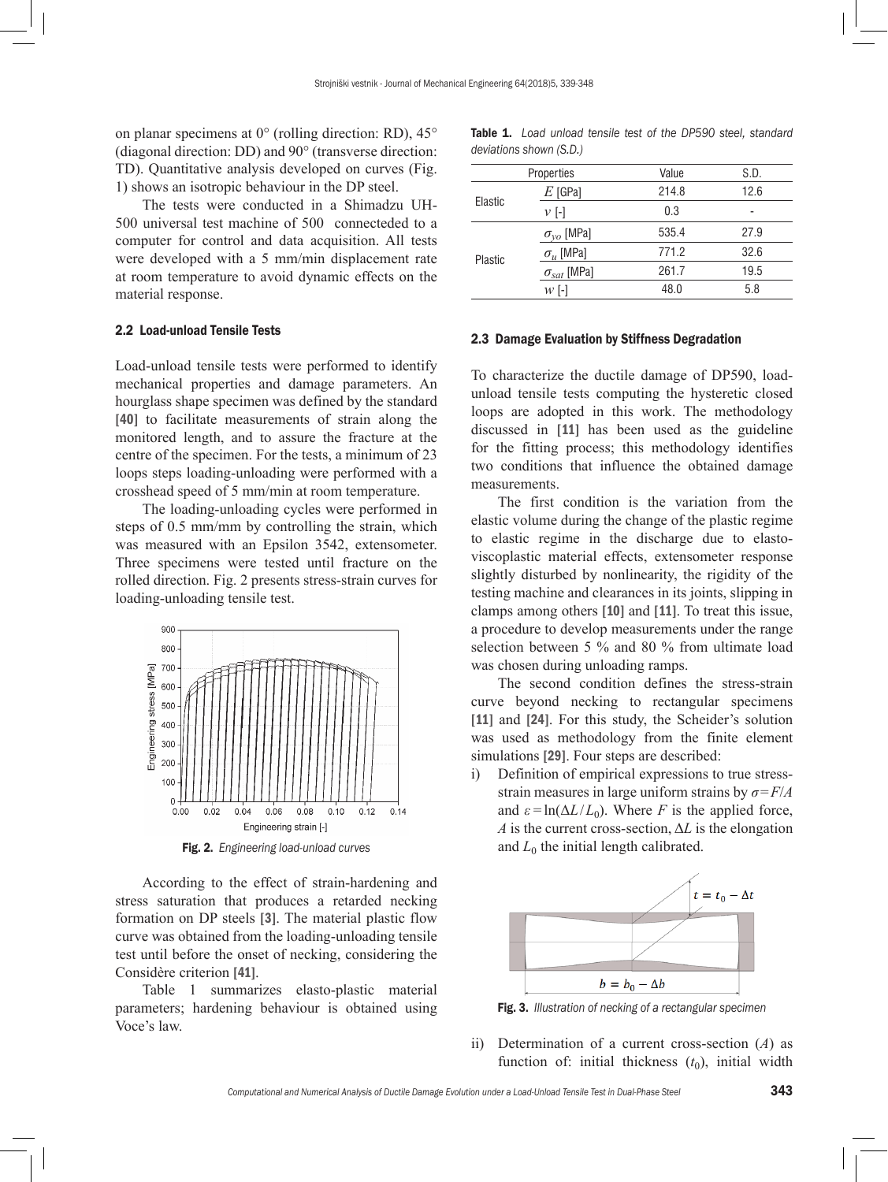on planar specimens at 0° (rolling direction: RD), 45° (diagonal direction: DD) and 90° (transverse direction: TD). Quantitative analysis developed on curves (Fig. 1) shows an isotropic behaviour in the DP steel.

The tests were conducted in a Shimadzu UH-500 universal test machine of 500 connecteded to a computer for control and data acquisition. All tests were developed with a 5 mm/min displacement rate at room temperature to avoid dynamic effects on the material response.

#### 2.2 Load-unload Tensile Tests

Load-unload tensile tests were performed to identify mechanical properties and damage parameters. An hourglass shape specimen was defined by the standard [40] to facilitate measurements of strain along the monitored length, and to assure the fracture at the centre of the specimen. For the tests, a minimum of 23 loops steps loading-unloading were performed with a crosshead speed of 5 mm/min at room temperature.

The loading-unloading cycles were performed in steps of 0.5 mm/mm by controlling the strain, which was measured with an Epsilon 3542, extensometer. Three specimens were tested until fracture on the rolled direction. Fig. 2 presents stress-strain curves for loading-unloading tensile test.



Fig. 2. *Engineering load-unload curves*

According to the effect of strain-hardening and stress saturation that produces a retarded necking formation on DP steels [3]. The material plastic flow curve was obtained from the loading-unloading tensile test until before the onset of necking, considering the Considère criterion [41].

Table 1 summarizes elasto-plastic material parameters; hardening behaviour is obtained using Voce's law.

| <b>Table 1.</b> Load unload tensile test of the DP590 steel, standard |  |  |  |  |  |  |  |  |  |
|-----------------------------------------------------------------------|--|--|--|--|--|--|--|--|--|
| deviations shown (S.D.)                                               |  |  |  |  |  |  |  |  |  |

|         | Properties           | Value | S.D. |  |
|---------|----------------------|-------|------|--|
| Elastic | $E$ [GPa]            | 214.8 | 12.6 |  |
|         | $\nu$ [-]            | 0.3   | -    |  |
| Plastic | $\sigma_{yo}$ [MPa]  | 535.4 | 27.9 |  |
|         | $\sigma_u$ [MPa]     | 771.2 | 32.6 |  |
|         | $\sigma_{sat}$ [MPa] | 261.7 | 19.5 |  |
|         | $W$ [-]              | 48.0  | 5.8  |  |
|         |                      |       |      |  |

### 2.3 Damage Evaluation by Stiffness Degradation

To characterize the ductile damage of DP590, loadunload tensile tests computing the hysteretic closed loops are adopted in this work. The methodology discussed in [11] has been used as the guideline for the fitting process; this methodology identifies two conditions that influence the obtained damage measurements.

The first condition is the variation from the elastic volume during the change of the plastic regime to elastic regime in the discharge due to elastoviscoplastic material effects, extensometer response slightly disturbed by nonlinearity, the rigidity of the testing machine and clearances in its joints, slipping in clamps among others [10] and [11]. To treat this issue, a procedure to develop measurements under the range selection between 5 % and 80 % from ultimate load was chosen during unloading ramps.

The second condition defines the stress-strain curve beyond necking to rectangular specimens [11] and [24]. For this study, the Scheider's solution was used as methodology from the finite element simulations [29]. Four steps are described:

i) Definition of empirical expressions to true stressstrain measures in large uniform strains by *σ*=*F*/*A* and  $\varepsilon$ <sup>=</sup> $\ln(\Delta L/L_0)$ . Where *F* is the applied force, *A* is the current cross-section, Δ*L* is the elongation and  $L_0$  the initial length calibrated.



Fig. 3. *Illustration of necking of a rectangular specimen*

ii) Determination of a current cross-section (*A*) as function of: initial thickness  $(t_0)$ , initial width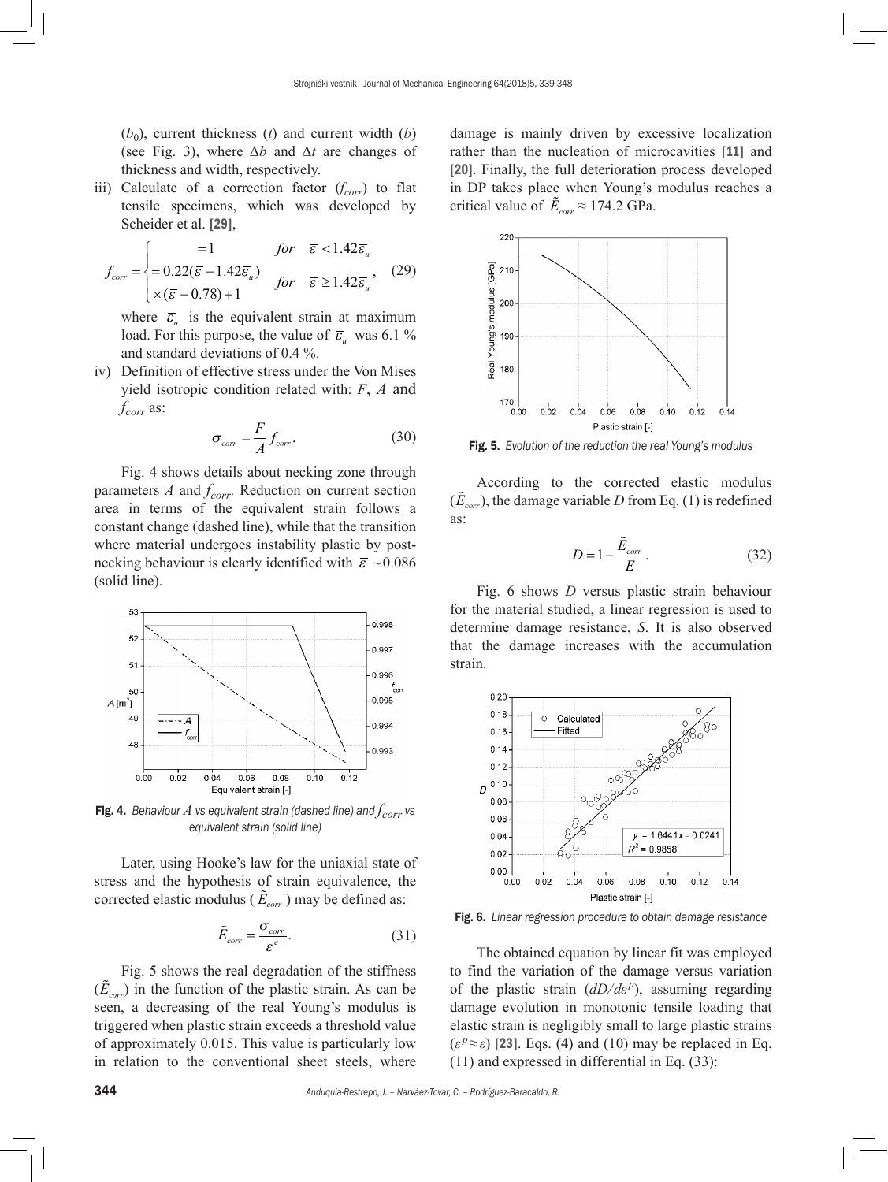$(b_0)$ , current thickness  $(t)$  and current width  $(b)$ (see Fig. 3), where Δ*b* and Δ*t* are changes of thickness and width, respectively.

iii) Calculate of a correction factor (*f<sub>corr</sub>*) to flat tensile specimens, which was developed by Scheider et al. [29],

$$
f_{corr} = \begin{cases}\n= 1 & \text{for } \bar{\varepsilon} < 1.42\bar{\varepsilon}_u \\
= 0.22(\bar{\varepsilon} - 1.42\bar{\varepsilon}_u) & \text{for } \bar{\varepsilon} \ge 1.42\bar{\varepsilon}_u,\n\end{cases} (29)
$$

where  $\bar{\varepsilon}_u$  is the equivalent strain at maximum load. For this purpose, the value of  $\bar{\varepsilon}_u$  was 6.1 % and standard deviations of 0.4 %.

iv) Definition of effective stress under the Von Mises yield isotropic condition related with: *F*, *A* and *fcorr* as:

$$
\sigma_{\text{corr}} = \frac{F}{A} f_{\text{corr}},\tag{30}
$$

Fig. 4 shows details about necking zone through parameters  $\Lambda$  and  $f_{corr}$ . Reduction on current section area in terms of the equivalent strain follows a constant change (dashed line), while that the transition where material undergoes instability plastic by postnecking behaviour is clearly identified with  $\bar{\varepsilon} \sim 0.086$ (solid line).



Fig. 4. Behaviour  $A$  vs equivalent strain (dashed line) and  $f_{corr}$  vs *equivalent strain (solid line)*

Later, using Hooke's law for the uniaxial state of stress and the hypothesis of strain equivalence, the corrected elastic modulus ( $\tilde{E}_{\text{corr}}$ ) may be defined as:

$$
\tilde{E}_{corr} = \frac{\sigma_{corr}}{\varepsilon^e}.
$$
\n(31)

Fig. 5 shows the real degradation of the stiffness  $(\tilde{E}_{\text{corr}})$  in the function of the plastic strain. As can be seen, a decreasing of the real Young's modulus is triggered when plastic strain exceeds a threshold value of approximately 0.015. This value is particularly low in relation to the conventional sheet steels, where

damage is mainly driven by excessive localization rather than the nucleation of microcavities [11] and [20]. Finally, the full deterioration process developed in DP takes place when Young's modulus reaches a critical value of  $\tilde{E}_{corr} \approx 174.2$  GPa.



Fig. 5. *Evolution of the reduction the real Young's modulus*

According to the corrected elastic modulus  $(\tilde{E}_{\text{corr}})$ , the damage variable *D* from Eq. (1) is redefined as:

$$
D = 1 - \frac{\tilde{E}_{corr}}{E}.
$$
\n(32)

Fig. 6 shows *D* versus plastic strain behaviour for the material studied, a linear regression is used to determine damage resistance, *S*. It is also observed that the damage increases with the accumulation strain.



Fig. 6. *Linear regression procedure to obtain damage resistance*

The obtained equation by linear fit was employed to find the variation of the damage versus variation of the plastic strain (*dD*⁄*dε <sup>p</sup>* ), assuming regarding damage evolution in monotonic tensile loading that elastic strain is negligibly small to large plastic strains  $(\varepsilon^{p} \approx \varepsilon)$  [23]. Eqs. (4) and (10) may be replaced in Eq. (11) and expressed in differential in Eq. (33):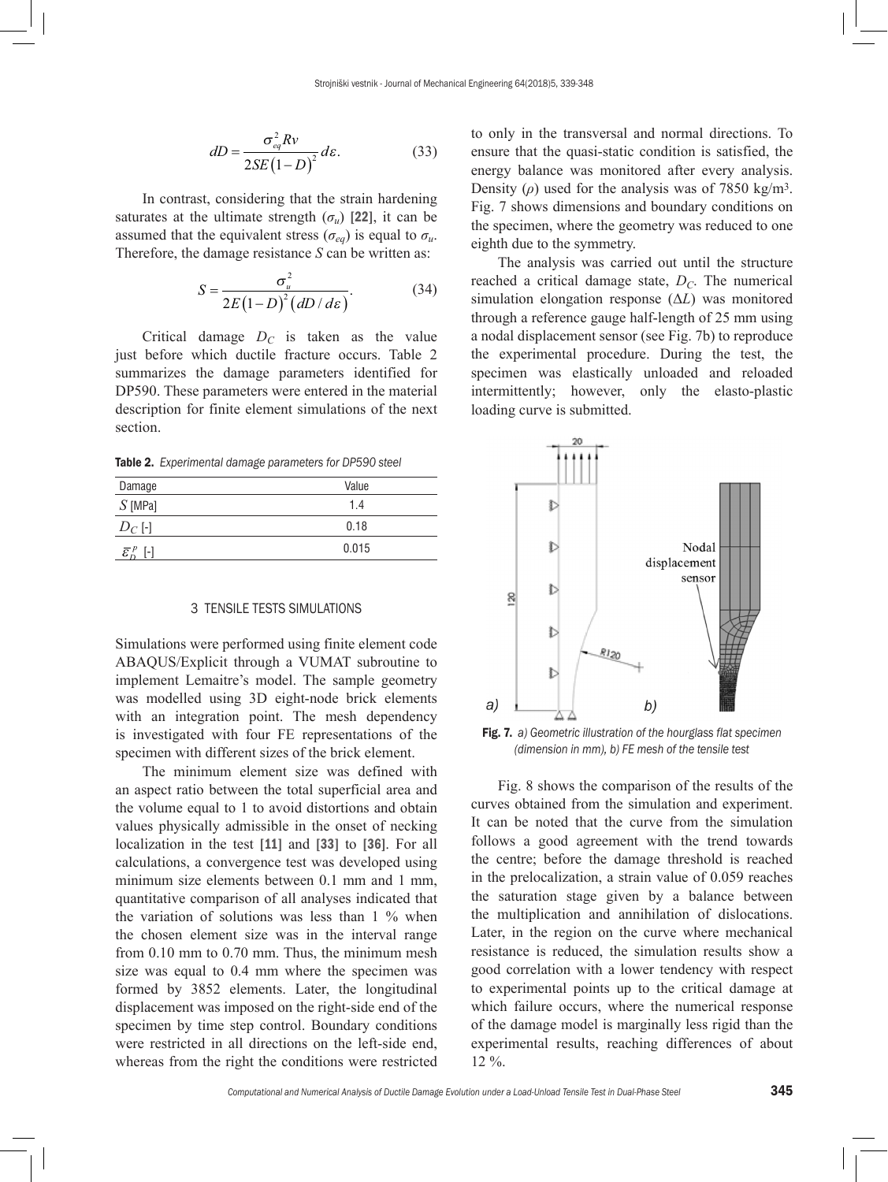$$
dD = \frac{\sigma_{eq}^2 R v}{2SE(1-D)^2} d\varepsilon.
$$
 (33)

In contrast, considering that the strain hardening saturates at the ultimate strength  $(\sigma_u)$  [22], it can be assumed that the equivalent stress ( $\sigma_{eq}$ ) is equal to  $\sigma_u$ . Therefore, the damage resistance *S* can be written as:

$$
S = \frac{\sigma_u^2}{2E(1-D)^2(dD/d\varepsilon)}.
$$
 (34)

Critical damage  $D<sub>C</sub>$  is taken as the value just before which ductile fracture occurs. Table 2 summarizes the damage parameters identified for DP590. These parameters were entered in the material description for finite element simulations of the next section.

Table 2. *Experimental damage parameters for DP590 steel*

| Damage                                       | Value |
|----------------------------------------------|-------|
| $S$ [MPa]                                    | 1.4   |
| $D_C$ [-]                                    | 0.18  |
| $\bar{\varepsilon}_n^p$<br>$\lceil - \rceil$ | 0.015 |
|                                              |       |

#### 3 TENSILE TESTS SIMULATIONS

Simulations were performed using finite element code ABAQUS/Explicit through a VUMAT subroutine to implement Lemaitre's model. The sample geometry was modelled using 3D eight-node brick elements with an integration point. The mesh dependency is investigated with four FE representations of the specimen with different sizes of the brick element.

The minimum element size was defined with an aspect ratio between the total superficial area and the volume equal to 1 to avoid distortions and obtain values physically admissible in the onset of necking localization in the test [11] and [33] to [36]. For all calculations, a convergence test was developed using minimum size elements between 0.1 mm and 1 mm, quantitative comparison of all analyses indicated that the variation of solutions was less than 1 % when the chosen element size was in the interval range from 0.10 mm to 0.70 mm. Thus, the minimum mesh size was equal to 0.4 mm where the specimen was formed by 3852 elements. Later, the longitudinal displacement was imposed on the right-side end of the specimen by time step control. Boundary conditions were restricted in all directions on the left-side end, whereas from the right the conditions were restricted to only in the transversal and normal directions. To ensure that the quasi-static condition is satisfied, the energy balance was monitored after every analysis. Density ( $\rho$ ) used for the analysis was of 7850 kg/m<sup>3</sup>. Fig. 7 shows dimensions and boundary conditions on the specimen, where the geometry was reduced to one eighth due to the symmetry.

The analysis was carried out until the structure reached a critical damage state,  $D_C$ . The numerical simulation elongation response (Δ*L*) was monitored through a reference gauge half-length of 25 mm using a nodal displacement sensor (see Fig. 7b) to reproduce the experimental procedure. During the test, the specimen was elastically unloaded and reloaded intermittently; however, only the elasto-plastic loading curve is submitted.



Fig. 7. *a) Geometric illustration of the hourglass flat specimen (dimension in mm), b) FE mesh of the tensile test*

Fig. 8 shows the comparison of the results of the curves obtained from the simulation and experiment. It can be noted that the curve from the simulation follows a good agreement with the trend towards the centre; before the damage threshold is reached in the prelocalization, a strain value of 0.059 reaches the saturation stage given by a balance between the multiplication and annihilation of dislocations. Later, in the region on the curve where mechanical resistance is reduced, the simulation results show a good correlation with a lower tendency with respect to experimental points up to the critical damage at which failure occurs, where the numerical response of the damage model is marginally less rigid than the experimental results, reaching differences of about 12 %.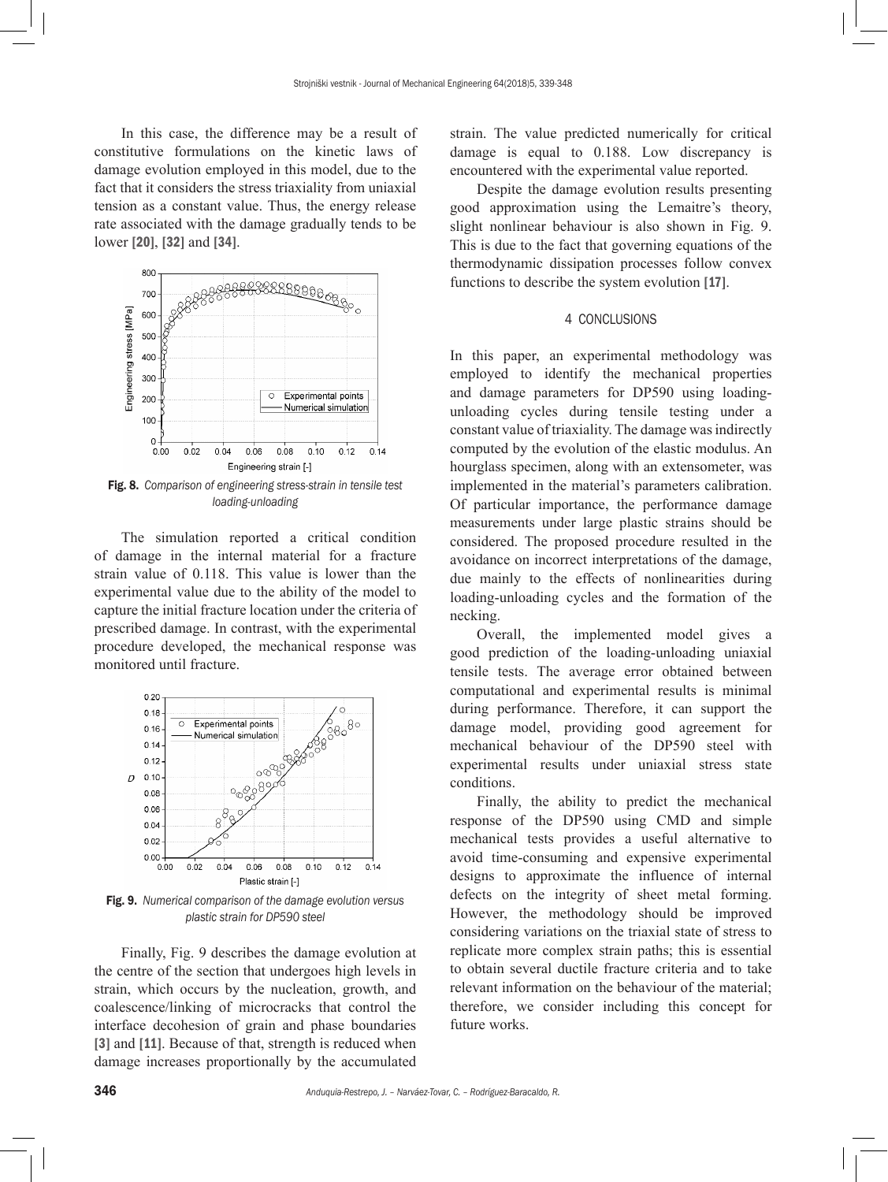In this case, the difference may be a result of constitutive formulations on the kinetic laws of damage evolution employed in this model, due to the fact that it considers the stress triaxiality from uniaxial tension as a constant value. Thus, the energy release rate associated with the damage gradually tends to be lower [20], [32] and [34].



*loading-unloading*

The simulation reported a critical condition of damage in the internal material for a fracture strain value of 0.118. This value is lower than the experimental value due to the ability of the model to capture the initial fracture location under the criteria of prescribed damage. In contrast, with the experimental procedure developed, the mechanical response was monitored until fracture.



Fig. 9. *Numerical comparison of the damage evolution versus plastic strain for DP590 steel*

Finally, Fig. 9 describes the damage evolution at the centre of the section that undergoes high levels in strain, which occurs by the nucleation, growth, and coalescence/linking of microcracks that control the interface decohesion of grain and phase boundaries [3] and [11]. Because of that, strength is reduced when damage increases proportionally by the accumulated strain. The value predicted numerically for critical damage is equal to 0.188. Low discrepancy is encountered with the experimental value reported.

Despite the damage evolution results presenting good approximation using the Lemaitre's theory, slight nonlinear behaviour is also shown in Fig. 9. This is due to the fact that governing equations of the thermodynamic dissipation processes follow convex functions to describe the system evolution [17].

#### 4 CONCLUSIONS

In this paper, an experimental methodology was employed to identify the mechanical properties and damage parameters for DP590 using loadingunloading cycles during tensile testing under a constant value of triaxiality. The damage was indirectly computed by the evolution of the elastic modulus. An hourglass specimen, along with an extensometer, was implemented in the material's parameters calibration. Of particular importance, the performance damage measurements under large plastic strains should be considered. The proposed procedure resulted in the avoidance on incorrect interpretations of the damage, due mainly to the effects of nonlinearities during loading-unloading cycles and the formation of the necking.

Overall, the implemented model gives a good prediction of the loading-unloading uniaxial tensile tests. The average error obtained between computational and experimental results is minimal during performance. Therefore, it can support the damage model, providing good agreement for mechanical behaviour of the DP590 steel with experimental results under uniaxial stress state conditions.

Finally, the ability to predict the mechanical response of the DP590 using CMD and simple mechanical tests provides a useful alternative to avoid time-consuming and expensive experimental designs to approximate the influence of internal defects on the integrity of sheet metal forming. However, the methodology should be improved considering variations on the triaxial state of stress to replicate more complex strain paths; this is essential to obtain several ductile fracture criteria and to take relevant information on the behaviour of the material; therefore, we consider including this concept for future works.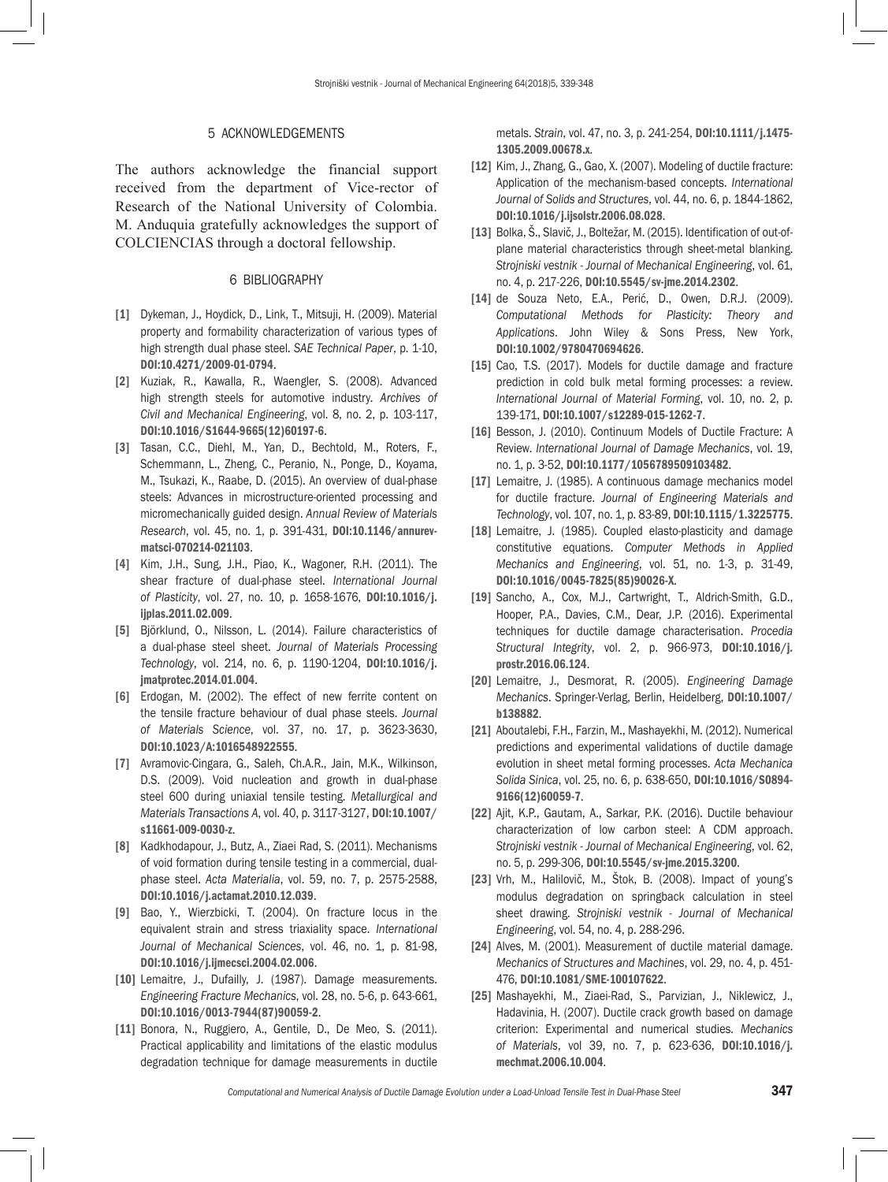# 5 ACKNOWLEDGEMENTS

The authors acknowledge the financial support received from the department of Vice-rector of Research of the National University of Colombia. M. Anduquia gratefully acknowledges the support of COLCIENCIAS through a doctoral fellowship.

### 6 BIBLIOGRAPHY

- [1] Dykeman, J., Hoydick, D., Link, T., Mitsuji, H. (2009). Material property and formability characterization of various types of high strength dual phase steel. *SAE Technical Paper*, p. 1-10, [DOI:10.4271/2009-01-0794](https://doi.org/10.4271/2009-01-0794).
- [2] Kuziak, R., Kawalla, R., Waengler, S. (2008). Advanced high strength steels for automotive industry. *Archives of Civil and Mechanical Engineering*, vol. 8, no. 2, p. 103-117, [DOI:10.1016/S1644-9665\(12\)60197-6](https://doi.org/10.1016/S1644-9665(12)60197-6).
- [3] Tasan, C.C., Diehl, M., Yan, D., Bechtold, M., Roters, F., Schemmann, L., Zheng, C., Peranio, N., Ponge, D., Koyama, M., Tsukazi, K., Raabe, D. (2015). An overview of dual-phase steels: Advances in microstructure-oriented processing and micromechanically guided design. *Annual Review of Materials Research*, vol. 45, no. 1, p. 391-431, [DOI:10.1146/annurev](https://doi.org/10.1146/annurev-matsci-070214-021103)[matsci-070214-021103](https://doi.org/10.1146/annurev-matsci-070214-021103).
- [4] Kim, J.H., Sung, J.H., Piao, K., Wagoner, R.H. (2011). The shear fracture of dual-phase steel. *International Journal of Plasticity*, vol. 27, no. 10, p. 1658-1676, [DOI:10.1016/j.](https://doi.org/10.1016/j.ijplas.2011.02.009) [ijplas.2011.02.009](https://doi.org/10.1016/j.ijplas.2011.02.009).
- [5] Björklund, O., Nilsson, L. (2014). Failure characteristics of a dual-phase steel sheet. *Journal of Materials Processing Technology*, vol. 214, no. 6, p. 1190-1204, [DOI:10.1016/j.](https://doi.org/10.1016/j.jmatprotec.2014.01.004) [jmatprotec.2014.01.004](https://doi.org/10.1016/j.jmatprotec.2014.01.004).
- [6] Erdogan, M. (2002). The effect of new ferrite content on the tensile fracture behaviour of dual phase steels. *Journal of Materials Science*, vol. 37, no. 17, p. 3623-3630, [DOI:10.1023/A:1016548922555](https://doi.org/10.1023/A:1016548922555).
- [7] Avramovic-Cingara, G., Saleh, Ch.A.R., Jain, M.K., Wilkinson, D.S. (2009). Void nucleation and growth in dual-phase steel 600 during uniaxial tensile testing. *Metallurgical and Materials Transactions A*, vol. 40, p. 3117-3127, [DOI:10.1007/](https://doi.org/10.1007/s11661-009-0030-z) [s11661-009-0030-z](https://doi.org/10.1007/s11661-009-0030-z).
- [8] Kadkhodapour, J., Butz, A., Ziaei Rad, S. (2011). Mechanisms of void formation during tensile testing in a commercial, dualphase steel. *Acta Materialia*, vol. 59, no. 7, p. 2575-2588, [DOI:10.1016/j.actamat.2010.12.039](https://doi.org/10.1016/j.actamat.2010.12.039).
- [9] Bao, Y., Wierzbicki, T. (2004). On fracture locus in the equivalent strain and stress triaxiality space. *International Journal of Mechanical Sciences*, vol. 46, no. 1, p. 81-98, [DOI:10.1016/j.ijmecsci.2004.02.006](https://doi.org/10.1016/j.ijmecsci.2004.02.006).
- [10] Lemaitre, J., Dufailly, J. (1987). Damage measurements. *Engineering Fracture Mechanics*, vol. 28, no. 5-6, p. 643-661, [DOI:10.1016/0013-7944\(87\)90059-2](https://doi.org/10.1016/0013-7944(87)90059-2).
- [11] Bonora, N., Ruggiero, A., Gentile, D., De Meo, S. (2011). Practical applicability and limitations of the elastic modulus degradation technique for damage measurements in ductile

metals. *Strain*, vol. 47, no. 3, p. 241-254, [DOI:10.1111/j.1475-](https://doi.org/10.1111/j.1475-1305.2009.00678.x) [1305.2009.00678.x](https://doi.org/10.1111/j.1475-1305.2009.00678.x).

- [12] Kim, J., Zhang, G., Gao, X. (2007). Modeling of ductile fracture: Application of the mechanism-based concepts. *International Journal of Solids and Structures*, vol. 44, no. 6, p. 1844-1862, [DOI:10.1016/j.ijsolstr.2006.08.028](https://doi.org/10.1016/j.ijsolstr.2006.08.028).
- [13] Bolka, Š., Slavič, J., Boltežar, M. (2015). Identification of out-ofplane material characteristics through sheet-metal blanking. *Strojniski vestnik - Journal of Mechanical Engineering*, vol. 61, no. 4, p. 217-226, [DOI:10.5545/sv-jme.2014.2302](https://doi.org/10.5545/sv-jme.2014.2302).
- [14] de Souza Neto, E.A., Perić, D., Owen, D.R.J. (2009). *Computational Methods for Plasticity: Theory and Applications*. John Wiley & Sons Press, New York, [DOI:10.1002/9780470694626](https://doi.org/10.1002/9780470694626).
- [15] Cao, T.S. (2017). Models for ductile damage and fracture prediction in cold bulk metal forming processes: a review. *International Journal of Material Forming*, vol. 10, no. 2, p. 139-171, [DOI:10.1007/s12289-015-1262-7](https://doi.org/10.1007/s12289-015-1262-7).
- [16] Besson, J. (2010). Continuum Models of Ductile Fracture: A Review. *International Journal of Damage Mechanics*, vol. 19, no. 1, p. 3-52, [DOI:10.1177/1056789509103482](https://doi.org/10.1177/1056789509103482).
- [17] Lemaitre, J. (1985). A continuous damage mechanics model for ductile fracture. *Journal of Engineering Materials and Technology*, vol. 107, no. 1, p. 83-89, [DOI:10.1115/1.3225775](https://doi.org/10.1115/1.3225775).
- [18] Lemaitre, J. (1985). Coupled elasto-plasticity and damage constitutive equations. *Computer Methods in Applied Mechanics and Engineering*, vol. 51, no. 1-3, p. 31-49, [DOI:10.1016/0045-7825\(85\)90026-X](https://doi.org/10.1016/0045-7825(85)90026-X).
- [19] Sancho, A., Cox, M.J., Cartwright, T., Aldrich-Smith, G.D., Hooper, P.A., Davies, C.M., Dear, J.P. (2016). Experimental techniques for ductile damage characterisation. *Procedia Structural Integrity*, vol. 2, p. 966-973, [DOI:10.1016/j.](https://doi.org/10.1016/j.prostr.2016.06.124) [prostr.2016.06.124](https://doi.org/10.1016/j.prostr.2016.06.124).
- [20] Lemaitre, J., Desmorat, R. (2005). *Engineering Damage Mechanics*. Springer-Verlag, Berlin, Heidelberg, [DOI:10.1007/](https://doi.org/10.1007/b138882) [b138882](https://doi.org/10.1007/b138882).
- [21] Aboutalebi, F.H., Farzin, M., Mashayekhi, M. (2012). Numerical predictions and experimental validations of ductile damage evolution in sheet metal forming processes. *Acta Mechanica Solida Sinica*, vol. 25, no. 6, p. 638-650, [DOI:10.1016/S0894-](https://doi.org/10.1016/S0894-9166(12)60059-7) [9166\(12\)60059-7](https://doi.org/10.1016/S0894-9166(12)60059-7).
- [22] Ajit, K.P., Gautam, A., Sarkar, P.K. (2016). Ductile behaviour characterization of low carbon steel: A CDM approach. *Strojniski vestnik - Journal of Mechanical Engineering*, vol. 62, no. 5, p. 299-306, [DOI:10.5545/sv-jme.2015.3200](https://doi.org/10.5545/sv-jme.2015.3200).
- [23] Vrh, M., Halilovič, M., Štok, B. (2008). Impact of young's modulus degradation on springback calculation in steel sheet drawing. *Strojniski vestnik - Journal of Mechanical Engineering*, vol. 54, no. 4, p. 288-296.
- [24] Alves, M. (2001). Measurement of ductile material damage. *Mechanics of Structures and Machines*, vol. 29, no. 4, p. 451- 476, [DOI:10.1081/SME-100107622](https://doi.org/10.1081/SME-100107622).
- [25] Mashayekhi, M., Ziaei-Rad, S., Parvizian, J., Niklewicz, J., Hadavinia, H. (2007). Ductile crack growth based on damage criterion: Experimental and numerical studies. *Mechanics of Materials*, vol 39, no. 7, p. 623-636, [DOI:10.1016/j.](https://doi.org/10.1016/j.mechmat.2006.10.004) [mechmat.2006.10.004](https://doi.org/10.1016/j.mechmat.2006.10.004).

*Computational and Numerical Analysis of Ductile Damage Evolution under a Load-Unload Tensile Test in Dual-Phase Steel* 347